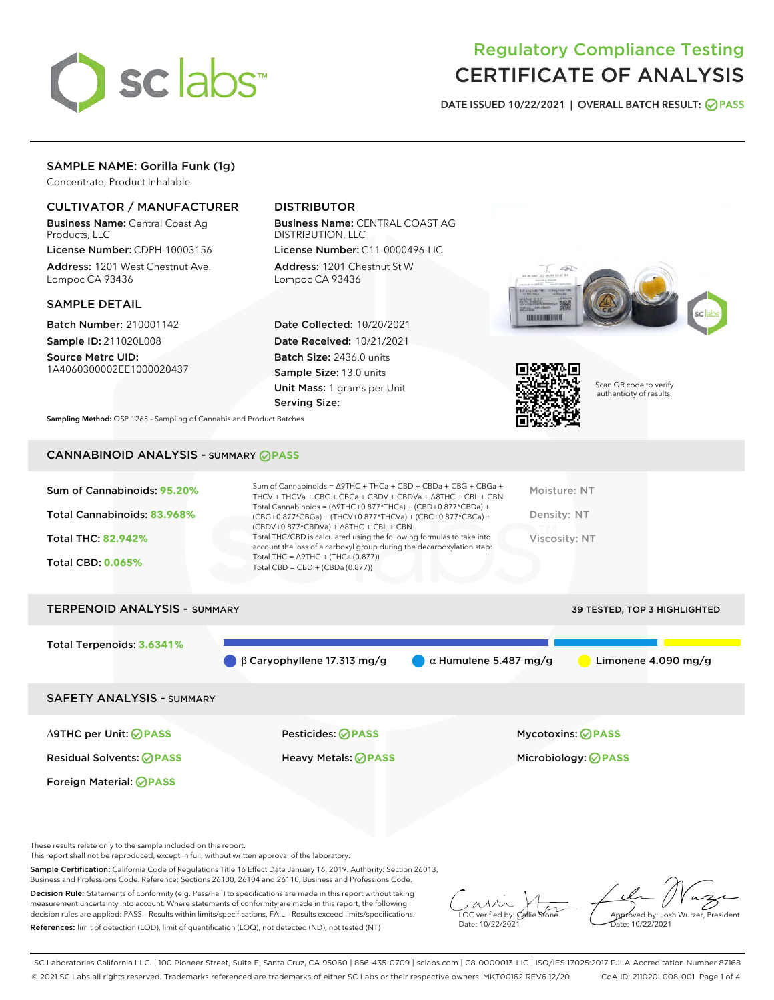

# Regulatory Compliance Testing CERTIFICATE OF ANALYSIS

DATE ISSUED 10/22/2021 | OVERALL BATCH RESULT: @ PASS

# SAMPLE NAME: Gorilla Funk (1g)

Concentrate, Product Inhalable

## CULTIVATOR / MANUFACTURER

Business Name: Central Coast Ag Products, LLC

License Number: CDPH-10003156 Address: 1201 West Chestnut Ave. Lompoc CA 93436

#### SAMPLE DETAIL

Batch Number: 210001142 Sample ID: 211020L008

Source Metrc UID: 1A4060300002EE1000020437

## DISTRIBUTOR

Business Name: CENTRAL COAST AG DISTRIBUTION, LLC License Number: C11-0000496-LIC

Address: 1201 Chestnut St W Lompoc CA 93436

Date Collected: 10/20/2021 Date Received: 10/21/2021 Batch Size: 2436.0 units Sample Size: 13.0 units Unit Mass: 1 grams per Unit Serving Size:





Scan QR code to verify authenticity of results.

Sampling Method: QSP 1265 - Sampling of Cannabis and Product Batches

## CANNABINOID ANALYSIS - SUMMARY **PASS**

| Sum of Cannabinoids: 95.20%<br>Total Cannabinoids: 83.968%<br><b>Total THC: 82.942%</b><br><b>Total CBD: 0.065%</b> | Sum of Cannabinoids = $\triangle$ 9THC + THCa + CBD + CBDa + CBG + CBGa +<br>THCV + THCVa + CBC + CBCa + CBDV + CBDVa + $\triangle$ 8THC + CBL + CBN<br>Total Cannabinoids = $(\Delta$ 9THC+0.877*THCa) + (CBD+0.877*CBDa) +<br>(CBG+0.877*CBGa) + (THCV+0.877*THCVa) + (CBC+0.877*CBCa) +<br>$(CBDV+0.877*CBDVa) + \Delta 8THC + CBL + CBN$<br>Total THC/CBD is calculated using the following formulas to take into<br>account the loss of a carboxyl group during the decarboxylation step:<br>Total THC = $\triangle$ 9THC + (THCa (0.877))<br>Total CBD = $CBD + (CBDa (0.877))$ | Moisture: NT<br>Density: NT<br><b>Viscosity: NT</b> |
|---------------------------------------------------------------------------------------------------------------------|---------------------------------------------------------------------------------------------------------------------------------------------------------------------------------------------------------------------------------------------------------------------------------------------------------------------------------------------------------------------------------------------------------------------------------------------------------------------------------------------------------------------------------------------------------------------------------------|-----------------------------------------------------|
| <b>TERPENOID ANALYSIS - SUMMARY</b>                                                                                 |                                                                                                                                                                                                                                                                                                                                                                                                                                                                                                                                                                                       | <b>39 TESTED, TOP 3 HIGHLIGHTED</b>                 |
| Total Terpenoids: 3.6341%                                                                                           |                                                                                                                                                                                                                                                                                                                                                                                                                                                                                                                                                                                       |                                                     |

SAFETY ANALYSIS - SUMMARY

∆9THC per Unit: **PASS** Pesticides: **PASS** Mycotoxins: **PASS**

Foreign Material: **PASS**

Residual Solvents: **PASS** Heavy Metals: **PASS** Microbiology: **PASS**

These results relate only to the sample included on this report.

This report shall not be reproduced, except in full, without written approval of the laboratory.

Sample Certification: California Code of Regulations Title 16 Effect Date January 16, 2019. Authority: Section 26013, Business and Professions Code. Reference: Sections 26100, 26104 and 26110, Business and Professions Code.

Decision Rule: Statements of conformity (e.g. Pass/Fail) to specifications are made in this report without taking measurement uncertainty into account. Where statements of conformity are made in this report, the following decision rules are applied: PASS – Results within limits/specifications, FAIL – Results exceed limits/specifications. References: limit of detection (LOD), limit of quantification (LOQ), not detected (ND), not tested (NT)

 $\overline{\text{LOC}}$  verified by:  $\mathcal C$ Date: 10/22/2021

β Caryophyllene 17.313 mg/g α Humulene 5.487 mg/g Limonene 4.090 mg/g

Aved by: Josh Wurzer, President  $\frac{1}{2}$ te: 10/22/2021

SC Laboratories California LLC. | 100 Pioneer Street, Suite E, Santa Cruz, CA 95060 | 866-435-0709 | sclabs.com | C8-0000013-LIC | ISO/IES 17025:2017 PJLA Accreditation Number 87168 © 2021 SC Labs all rights reserved. Trademarks referenced are trademarks of either SC Labs or their respective owners. MKT00162 REV6 12/20 CoA ID: 211020L008-001 Page 1 of 4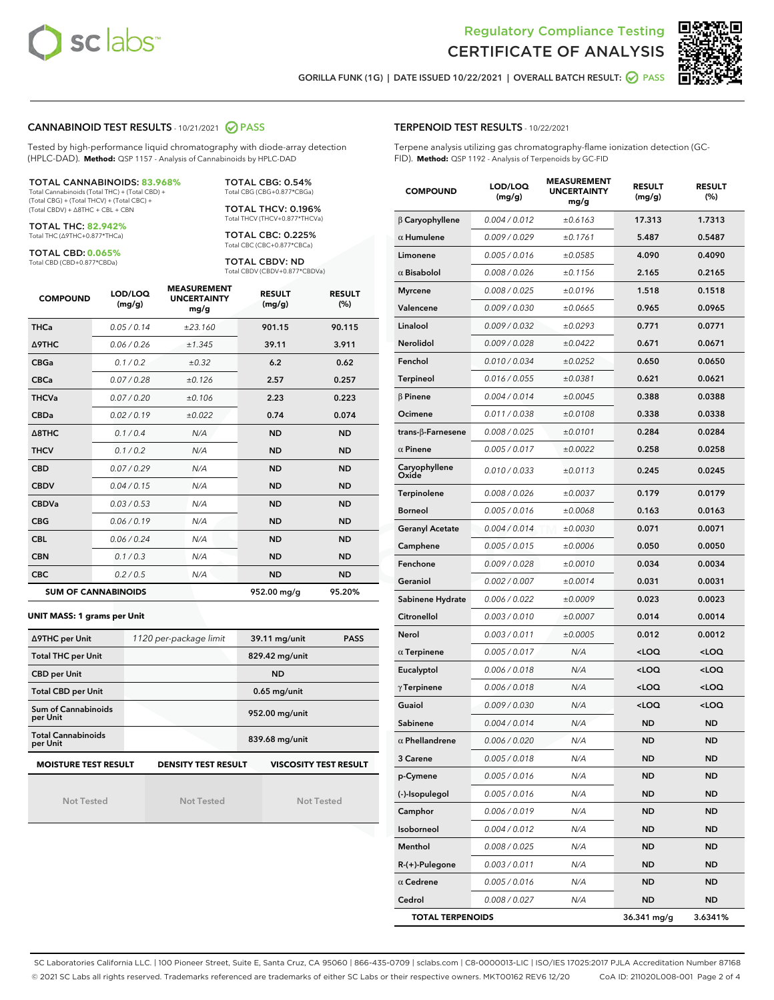



GORILLA FUNK (1G) | DATE ISSUED 10/22/2021 | OVERALL BATCH RESULT: @ PASS

#### CANNABINOID TEST RESULTS - 10/21/2021 2 PASS

Tested by high-performance liquid chromatography with diode-array detection (HPLC-DAD). **Method:** QSP 1157 - Analysis of Cannabinoids by HPLC-DAD

#### TOTAL CANNABINOIDS: **83.968%**

Total Cannabinoids (Total THC) + (Total CBD) + (Total CBG) + (Total THCV) + (Total CBC) + (Total CBDV) + ∆8THC + CBL + CBN

TOTAL THC: **82.942%** Total THC (∆9THC+0.877\*THCa)

TOTAL CBD: **0.065%**

Total CBD (CBD+0.877\*CBDa)

TOTAL CBG: 0.54% Total CBG (CBG+0.877\*CBGa)

TOTAL THCV: 0.196% Total THCV (THCV+0.877\*THCVa)

TOTAL CBC: 0.225% Total CBC (CBC+0.877\*CBCa)

TOTAL CBDV: ND Total CBDV (CBDV+0.877\*CBDVa)

| <b>COMPOUND</b>  | LOD/LOQ<br>(mg/g)          | <b>MEASUREMENT</b><br><b>UNCERTAINTY</b><br>mg/g | <b>RESULT</b><br>(mg/g) | <b>RESULT</b><br>(%) |
|------------------|----------------------------|--------------------------------------------------|-------------------------|----------------------|
| <b>THCa</b>      | 0.05/0.14                  | ±23.160                                          | 901.15                  | 90.115               |
| <b>A9THC</b>     | 0.06 / 0.26                | ±1.345                                           | 39.11                   | 3.911                |
| <b>CBGa</b>      | 0.1 / 0.2                  | ±0.32                                            | 6.2                     | 0.62                 |
| <b>CBCa</b>      | 0.07/0.28                  | ±0.126                                           | 2.57                    | 0.257                |
| <b>THCVa</b>     | 0.07/0.20                  | ±0.106                                           | 2.23                    | 0.223                |
| <b>CBDa</b>      | 0.02/0.19                  | ±0.022                                           | 0.74                    | 0.074                |
| $\triangle$ 8THC | 0.1/0.4                    | N/A                                              | <b>ND</b>               | <b>ND</b>            |
| <b>THCV</b>      | 0.1/0.2                    | N/A                                              | <b>ND</b>               | <b>ND</b>            |
| <b>CBD</b>       | 0.07/0.29                  | N/A                                              | <b>ND</b>               | <b>ND</b>            |
| <b>CBDV</b>      | 0.04 / 0.15                | N/A                                              | <b>ND</b>               | <b>ND</b>            |
| <b>CBDVa</b>     | 0.03 / 0.53                | N/A                                              | <b>ND</b>               | <b>ND</b>            |
| <b>CBG</b>       | 0.06/0.19                  | N/A                                              | <b>ND</b>               | <b>ND</b>            |
| <b>CBL</b>       | 0.06 / 0.24                | N/A                                              | <b>ND</b>               | <b>ND</b>            |
| <b>CBN</b>       | 0.1/0.3                    | N/A                                              | <b>ND</b>               | <b>ND</b>            |
| <b>CBC</b>       | 0.2 / 0.5                  | N/A                                              | <b>ND</b>               | <b>ND</b>            |
|                  | <b>SUM OF CANNABINOIDS</b> |                                                  | 952.00 mg/g             | 95.20%               |

#### **UNIT MASS: 1 grams per Unit**

| ∆9THC per Unit                        | 1120 per-package limit     | 39.11 mg/unit<br><b>PASS</b> |  |  |
|---------------------------------------|----------------------------|------------------------------|--|--|
| <b>Total THC per Unit</b>             |                            | 829.42 mg/unit               |  |  |
| <b>CBD per Unit</b>                   |                            | <b>ND</b>                    |  |  |
| <b>Total CBD per Unit</b>             |                            | $0.65$ mg/unit               |  |  |
| Sum of Cannabinoids<br>per Unit       |                            | 952.00 mg/unit               |  |  |
| <b>Total Cannabinoids</b><br>per Unit |                            | 839.68 mg/unit               |  |  |
| <b>MOISTURE TEST RESULT</b>           | <b>DENSITY TEST RESULT</b> | <b>VISCOSITY TEST RESULT</b> |  |  |

Not Tested

Not Tested

Not Tested

#### TERPENOID TEST RESULTS - 10/22/2021

Terpene analysis utilizing gas chromatography-flame ionization detection (GC-FID). **Method:** QSP 1192 - Analysis of Terpenoids by GC-FID

| <b>COMPOUND</b>         | LOD/LOQ<br>(mg/g) | <b>MEASUREMENT</b><br><b>UNCERTAINTY</b><br>mg/g | <b>RESULT</b><br>(mg/g)                         | <b>RESULT</b><br>(%) |
|-------------------------|-------------------|--------------------------------------------------|-------------------------------------------------|----------------------|
| $\beta$ Caryophyllene   | 0.004 / 0.012     | ±0.6163                                          | 17.313                                          | 1.7313               |
| $\alpha$ Humulene       | 0.009 / 0.029     | ±0.1761                                          | 5.487                                           | 0.5487               |
| Limonene                | 0.005 / 0.016     | ±0.0585                                          | 4.090                                           | 0.4090               |
| $\alpha$ Bisabolol      | 0.008 / 0.026     | ±0.1156                                          | 2.165                                           | 0.2165               |
| <b>Myrcene</b>          | 0.008 / 0.025     | ±0.0196                                          | 1.518                                           | 0.1518               |
| Valencene               | 0.009 / 0.030     | ±0.0665                                          | 0.965                                           | 0.0965               |
| Linalool                | 0.009 / 0.032     | ±0.0293                                          | 0.771                                           | 0.0771               |
| Nerolidol               | 0.009 / 0.028     | ±0.0422                                          | 0.671                                           | 0.0671               |
| Fenchol                 | 0.010 / 0.034     | ±0.0252                                          | 0.650                                           | 0.0650               |
| Terpineol               | 0.016 / 0.055     | ±0.0381                                          | 0.621                                           | 0.0621               |
| $\beta$ Pinene          | 0.004 / 0.014     | ±0.0045                                          | 0.388                                           | 0.0388               |
| Ocimene                 | 0.011 / 0.038     | ±0.0108                                          | 0.338                                           | 0.0338               |
| trans-β-Farnesene       | 0.008 / 0.025     | ±0.0101                                          | 0.284                                           | 0.0284               |
| $\alpha$ Pinene         | 0.005 / 0.017     | ±0.0022                                          | 0.258                                           | 0.0258               |
| Caryophyllene<br>Oxide  | 0.010 / 0.033     | ±0.0113                                          | 0.245                                           | 0.0245               |
| Terpinolene             | 0.008 / 0.026     | ±0.0037                                          | 0.179                                           | 0.0179               |
| <b>Borneol</b>          | 0.005 / 0.016     | ±0.0068                                          | 0.163                                           | 0.0163               |
| <b>Geranyl Acetate</b>  | 0.004 / 0.014     | ±0.0030                                          | 0.071                                           | 0.0071               |
| Camphene                | 0.005 / 0.015     | ±0.0006                                          | 0.050                                           | 0.0050               |
| Fenchone                | 0.009 / 0.028     | ±0.0010                                          | 0.034                                           | 0.0034               |
| Geraniol                | 0.002 / 0.007     | ±0.0014                                          | 0.031                                           | 0.0031               |
| Sabinene Hydrate        | 0.006 / 0.022     | ±0.0009                                          | 0.023                                           | 0.0023               |
| Citronellol             | 0.003 / 0.010     | ±0.0007                                          | 0.014                                           | 0.0014               |
| Nerol                   | 0.003 / 0.011     | ±0.0005                                          | 0.012                                           | 0.0012               |
| $\alpha$ Terpinene      | 0.005 / 0.017     | N/A                                              | <loq< th=""><th><loq< th=""></loq<></th></loq<> | <loq< th=""></loq<>  |
| Eucalyptol              | 0.006 / 0.018     | N/A                                              | <loq< th=""><th><loq< th=""></loq<></th></loq<> | <loq< th=""></loq<>  |
| $\gamma$ Terpinene      | 0.006 / 0.018     | N/A                                              | <loq< th=""><th><loq< th=""></loq<></th></loq<> | <loq< th=""></loq<>  |
| Guaiol                  | 0.009 / 0.030     | N/A                                              | <loq< th=""><th><loq< th=""></loq<></th></loq<> | <loq< th=""></loq<>  |
| Sabinene                | 0.004 / 0.014     | N/A                                              | ND                                              | <b>ND</b>            |
| $\alpha$ Phellandrene   | 0.006 / 0.020     | N/A                                              | <b>ND</b>                                       | <b>ND</b>            |
| 3 Carene                | 0.005 / 0.018     | N/A                                              | ND                                              | ND                   |
| p-Cymene                | 0.005 / 0.016     | N/A                                              | ND                                              | <b>ND</b>            |
| (-)-Isopulegol          | 0.005 / 0.016     | N/A                                              | ND                                              | <b>ND</b>            |
| Camphor                 | 0.006 / 0.019     | N/A                                              | ND                                              | <b>ND</b>            |
| Isoborneol              | 0.004 / 0.012     | N/A                                              | ND                                              | ND                   |
| Menthol                 | 0.008 / 0.025     | N/A                                              | ND                                              | ND                   |
| R-(+)-Pulegone          | 0.003 / 0.011     | N/A                                              | ND                                              | <b>ND</b>            |
| $\alpha$ Cedrene        | 0.005 / 0.016     | N/A                                              | ND                                              | ND                   |
| Cedrol                  | 0.008 / 0.027     | N/A                                              | ND                                              | <b>ND</b>            |
| <b>TOTAL TERPENOIDS</b> |                   |                                                  | 36.341 mg/g                                     | 3.6341%              |

SC Laboratories California LLC. | 100 Pioneer Street, Suite E, Santa Cruz, CA 95060 | 866-435-0709 | sclabs.com | C8-0000013-LIC | ISO/IES 17025:2017 PJLA Accreditation Number 87168 © 2021 SC Labs all rights reserved. Trademarks referenced are trademarks of either SC Labs or their respective owners. MKT00162 REV6 12/20 CoA ID: 211020L008-001 Page 2 of 4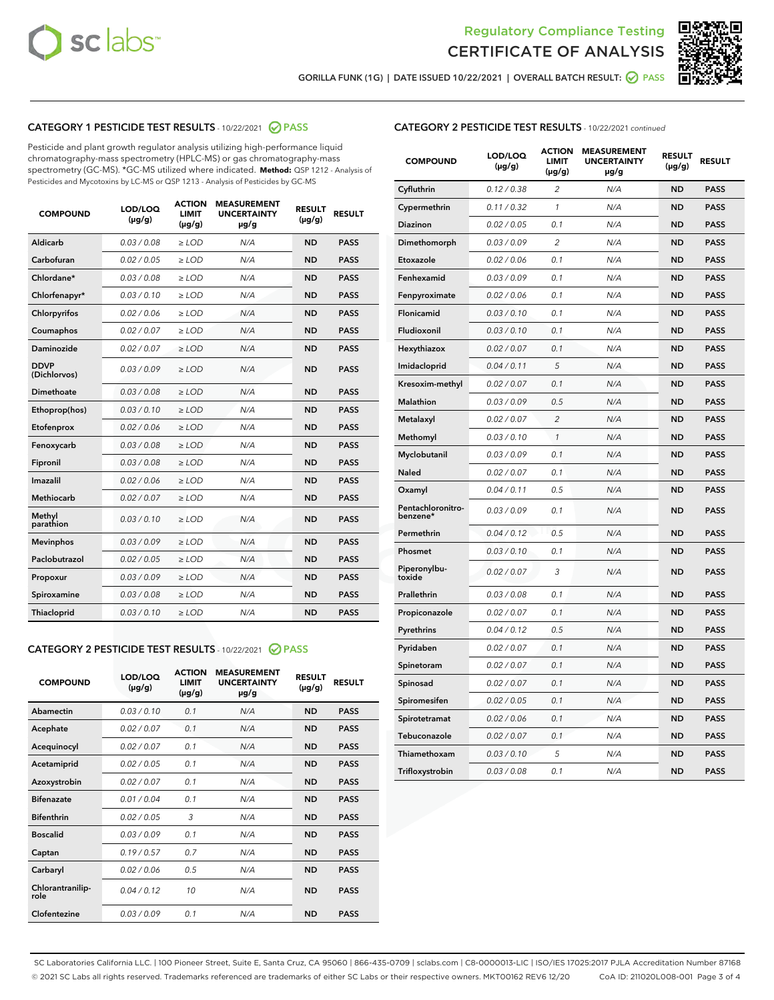



GORILLA FUNK (1G) | DATE ISSUED 10/22/2021 | OVERALL BATCH RESULT: 2 PASS

## CATEGORY 1 PESTICIDE TEST RESULTS - 10/22/2021 2 PASS

Pesticide and plant growth regulator analysis utilizing high-performance liquid chromatography-mass spectrometry (HPLC-MS) or gas chromatography-mass spectrometry (GC-MS). \*GC-MS utilized where indicated. **Method:** QSP 1212 - Analysis of Pesticides and Mycotoxins by LC-MS or QSP 1213 - Analysis of Pesticides by GC-MS

| 0.03 / 0.08<br><b>ND</b><br><b>PASS</b><br>Aldicarb<br>$\ge$ LOD<br>N/A<br>Carbofuran<br>0.02 / 0.05<br>$\ge$ LOD<br>N/A<br><b>ND</b><br><b>PASS</b><br>Chlordane*<br>0.03 / 0.08<br>$\ge$ LOD<br>N/A<br><b>ND</b><br><b>PASS</b><br>Chlorfenapyr*<br>0.03/0.10<br>$\ge$ LOD<br>N/A<br><b>ND</b><br><b>PASS</b><br>Chlorpyrifos<br>0.02 / 0.06<br>N/A<br><b>ND</b><br><b>PASS</b><br>$\ge$ LOD<br>Coumaphos<br>0.02 / 0.07<br>N/A<br><b>ND</b><br><b>PASS</b><br>$\ge$ LOD<br>Daminozide<br>0.02 / 0.07<br>N/A<br><b>ND</b><br><b>PASS</b><br>$\ge$ LOD<br><b>DDVP</b><br>0.03/0.09<br>$>$ LOD<br>N/A<br><b>ND</b><br><b>PASS</b><br>(Dichlorvos)<br>Dimethoate<br>0.03 / 0.08<br>$\ge$ LOD<br><b>ND</b><br><b>PASS</b><br>N/A<br>0.03/0.10<br>N/A<br><b>ND</b><br><b>PASS</b><br>Ethoprop(hos)<br>$>$ LOD<br>N/A<br><b>ND</b><br><b>PASS</b><br>Etofenprox<br>0.02 / 0.06<br>$\ge$ LOD<br>Fenoxycarb<br>0.03 / 0.08<br>$\ge$ LOD<br>N/A<br><b>ND</b><br><b>PASS</b><br>0.03/0.08<br>$\ge$ LOD<br>N/A<br><b>ND</b><br><b>PASS</b><br>Fipronil<br>Imazalil<br>0.02 / 0.06<br>$\geq$ LOD<br>N/A<br><b>ND</b><br><b>PASS</b><br><b>Methiocarb</b><br>0.02 / 0.07<br>$\ge$ LOD<br>N/A<br><b>ND</b><br><b>PASS</b><br>Methyl<br>0.03/0.10<br>N/A<br><b>ND</b><br><b>PASS</b><br>$\ge$ LOD<br>parathion<br>0.03/0.09<br><b>Mevinphos</b><br>$\ge$ LOD<br>N/A<br><b>ND</b><br><b>PASS</b><br>Paclobutrazol<br>0.02 / 0.05<br>$>$ LOD<br>N/A<br><b>ND</b><br><b>PASS</b><br>0.03 / 0.09<br>N/A<br>$\ge$ LOD<br><b>ND</b><br><b>PASS</b><br>Propoxur<br>0.03 / 0.08<br><b>ND</b><br><b>PASS</b><br>Spiroxamine<br>$\ge$ LOD<br>N/A<br>Thiacloprid<br>0.03/0.10<br>$\ge$ LOD<br>N/A<br><b>ND</b><br><b>PASS</b> | <b>COMPOUND</b> | LOD/LOQ<br>$(\mu g/g)$ | <b>ACTION</b><br><b>LIMIT</b><br>$(\mu g/g)$ | <b>MEASUREMENT</b><br><b>UNCERTAINTY</b><br>$\mu$ g/g | <b>RESULT</b><br>$(\mu g/g)$ | <b>RESULT</b> |
|-------------------------------------------------------------------------------------------------------------------------------------------------------------------------------------------------------------------------------------------------------------------------------------------------------------------------------------------------------------------------------------------------------------------------------------------------------------------------------------------------------------------------------------------------------------------------------------------------------------------------------------------------------------------------------------------------------------------------------------------------------------------------------------------------------------------------------------------------------------------------------------------------------------------------------------------------------------------------------------------------------------------------------------------------------------------------------------------------------------------------------------------------------------------------------------------------------------------------------------------------------------------------------------------------------------------------------------------------------------------------------------------------------------------------------------------------------------------------------------------------------------------------------------------------------------------------------------------------------------------------------------------------------------------------------------------------------|-----------------|------------------------|----------------------------------------------|-------------------------------------------------------|------------------------------|---------------|
|                                                                                                                                                                                                                                                                                                                                                                                                                                                                                                                                                                                                                                                                                                                                                                                                                                                                                                                                                                                                                                                                                                                                                                                                                                                                                                                                                                                                                                                                                                                                                                                                                                                                                                       |                 |                        |                                              |                                                       |                              |               |
|                                                                                                                                                                                                                                                                                                                                                                                                                                                                                                                                                                                                                                                                                                                                                                                                                                                                                                                                                                                                                                                                                                                                                                                                                                                                                                                                                                                                                                                                                                                                                                                                                                                                                                       |                 |                        |                                              |                                                       |                              |               |
|                                                                                                                                                                                                                                                                                                                                                                                                                                                                                                                                                                                                                                                                                                                                                                                                                                                                                                                                                                                                                                                                                                                                                                                                                                                                                                                                                                                                                                                                                                                                                                                                                                                                                                       |                 |                        |                                              |                                                       |                              |               |
|                                                                                                                                                                                                                                                                                                                                                                                                                                                                                                                                                                                                                                                                                                                                                                                                                                                                                                                                                                                                                                                                                                                                                                                                                                                                                                                                                                                                                                                                                                                                                                                                                                                                                                       |                 |                        |                                              |                                                       |                              |               |
|                                                                                                                                                                                                                                                                                                                                                                                                                                                                                                                                                                                                                                                                                                                                                                                                                                                                                                                                                                                                                                                                                                                                                                                                                                                                                                                                                                                                                                                                                                                                                                                                                                                                                                       |                 |                        |                                              |                                                       |                              |               |
|                                                                                                                                                                                                                                                                                                                                                                                                                                                                                                                                                                                                                                                                                                                                                                                                                                                                                                                                                                                                                                                                                                                                                                                                                                                                                                                                                                                                                                                                                                                                                                                                                                                                                                       |                 |                        |                                              |                                                       |                              |               |
|                                                                                                                                                                                                                                                                                                                                                                                                                                                                                                                                                                                                                                                                                                                                                                                                                                                                                                                                                                                                                                                                                                                                                                                                                                                                                                                                                                                                                                                                                                                                                                                                                                                                                                       |                 |                        |                                              |                                                       |                              |               |
|                                                                                                                                                                                                                                                                                                                                                                                                                                                                                                                                                                                                                                                                                                                                                                                                                                                                                                                                                                                                                                                                                                                                                                                                                                                                                                                                                                                                                                                                                                                                                                                                                                                                                                       |                 |                        |                                              |                                                       |                              |               |
|                                                                                                                                                                                                                                                                                                                                                                                                                                                                                                                                                                                                                                                                                                                                                                                                                                                                                                                                                                                                                                                                                                                                                                                                                                                                                                                                                                                                                                                                                                                                                                                                                                                                                                       |                 |                        |                                              |                                                       |                              |               |
|                                                                                                                                                                                                                                                                                                                                                                                                                                                                                                                                                                                                                                                                                                                                                                                                                                                                                                                                                                                                                                                                                                                                                                                                                                                                                                                                                                                                                                                                                                                                                                                                                                                                                                       |                 |                        |                                              |                                                       |                              |               |
|                                                                                                                                                                                                                                                                                                                                                                                                                                                                                                                                                                                                                                                                                                                                                                                                                                                                                                                                                                                                                                                                                                                                                                                                                                                                                                                                                                                                                                                                                                                                                                                                                                                                                                       |                 |                        |                                              |                                                       |                              |               |
|                                                                                                                                                                                                                                                                                                                                                                                                                                                                                                                                                                                                                                                                                                                                                                                                                                                                                                                                                                                                                                                                                                                                                                                                                                                                                                                                                                                                                                                                                                                                                                                                                                                                                                       |                 |                        |                                              |                                                       |                              |               |
|                                                                                                                                                                                                                                                                                                                                                                                                                                                                                                                                                                                                                                                                                                                                                                                                                                                                                                                                                                                                                                                                                                                                                                                                                                                                                                                                                                                                                                                                                                                                                                                                                                                                                                       |                 |                        |                                              |                                                       |                              |               |
|                                                                                                                                                                                                                                                                                                                                                                                                                                                                                                                                                                                                                                                                                                                                                                                                                                                                                                                                                                                                                                                                                                                                                                                                                                                                                                                                                                                                                                                                                                                                                                                                                                                                                                       |                 |                        |                                              |                                                       |                              |               |
|                                                                                                                                                                                                                                                                                                                                                                                                                                                                                                                                                                                                                                                                                                                                                                                                                                                                                                                                                                                                                                                                                                                                                                                                                                                                                                                                                                                                                                                                                                                                                                                                                                                                                                       |                 |                        |                                              |                                                       |                              |               |
|                                                                                                                                                                                                                                                                                                                                                                                                                                                                                                                                                                                                                                                                                                                                                                                                                                                                                                                                                                                                                                                                                                                                                                                                                                                                                                                                                                                                                                                                                                                                                                                                                                                                                                       |                 |                        |                                              |                                                       |                              |               |
|                                                                                                                                                                                                                                                                                                                                                                                                                                                                                                                                                                                                                                                                                                                                                                                                                                                                                                                                                                                                                                                                                                                                                                                                                                                                                                                                                                                                                                                                                                                                                                                                                                                                                                       |                 |                        |                                              |                                                       |                              |               |
|                                                                                                                                                                                                                                                                                                                                                                                                                                                                                                                                                                                                                                                                                                                                                                                                                                                                                                                                                                                                                                                                                                                                                                                                                                                                                                                                                                                                                                                                                                                                                                                                                                                                                                       |                 |                        |                                              |                                                       |                              |               |
|                                                                                                                                                                                                                                                                                                                                                                                                                                                                                                                                                                                                                                                                                                                                                                                                                                                                                                                                                                                                                                                                                                                                                                                                                                                                                                                                                                                                                                                                                                                                                                                                                                                                                                       |                 |                        |                                              |                                                       |                              |               |
|                                                                                                                                                                                                                                                                                                                                                                                                                                                                                                                                                                                                                                                                                                                                                                                                                                                                                                                                                                                                                                                                                                                                                                                                                                                                                                                                                                                                                                                                                                                                                                                                                                                                                                       |                 |                        |                                              |                                                       |                              |               |
|                                                                                                                                                                                                                                                                                                                                                                                                                                                                                                                                                                                                                                                                                                                                                                                                                                                                                                                                                                                                                                                                                                                                                                                                                                                                                                                                                                                                                                                                                                                                                                                                                                                                                                       |                 |                        |                                              |                                                       |                              |               |

#### CATEGORY 2 PESTICIDE TEST RESULTS - 10/22/2021 @ PASS

| <b>COMPOUND</b>          | LOD/LOQ<br>$(\mu g/g)$ | <b>ACTION</b><br>LIMIT<br>$(\mu g/g)$ | <b>MEASUREMENT</b><br><b>UNCERTAINTY</b><br>$\mu$ g/g | <b>RESULT</b><br>$(\mu g/g)$ | <b>RESULT</b> |  |
|--------------------------|------------------------|---------------------------------------|-------------------------------------------------------|------------------------------|---------------|--|
| Abamectin                | 0.03/0.10              | 0.1                                   | N/A                                                   | <b>ND</b>                    | <b>PASS</b>   |  |
| Acephate                 | 0.02/0.07              | 0.1                                   | N/A                                                   | <b>ND</b>                    | <b>PASS</b>   |  |
| Acequinocyl              | 0.02/0.07              | 0.1                                   | N/A                                                   | <b>ND</b>                    | <b>PASS</b>   |  |
| Acetamiprid              | 0.02 / 0.05            | 0.1                                   | N/A                                                   | <b>ND</b>                    | <b>PASS</b>   |  |
| Azoxystrobin             | 0.02/0.07              | 0.1                                   | N/A                                                   | <b>ND</b>                    | <b>PASS</b>   |  |
| <b>Bifenazate</b>        | 0.01 / 0.04            | 0.1                                   | N/A                                                   | <b>ND</b>                    | <b>PASS</b>   |  |
| <b>Bifenthrin</b>        | 0 02 / 0 05            | 3                                     | N/A                                                   | <b>ND</b>                    | <b>PASS</b>   |  |
| <b>Boscalid</b>          | 0.03/0.09              | 0.1                                   | N/A                                                   | <b>ND</b>                    | <b>PASS</b>   |  |
| Captan                   | 0.19/0.57              | 0.7                                   | N/A                                                   | <b>ND</b>                    | <b>PASS</b>   |  |
| Carbaryl                 | 0.02/0.06              | 0.5                                   | N/A                                                   | <b>ND</b>                    | <b>PASS</b>   |  |
| Chlorantranilip-<br>role | 0.04/0.12              | 10                                    | N/A                                                   | <b>ND</b>                    | <b>PASS</b>   |  |
| Clofentezine             | 0.03/0.09              | 0.1                                   | N/A                                                   | <b>ND</b>                    | <b>PASS</b>   |  |

| <b>COMPOUND</b>               | LOD/LOQ<br>(µg/g) | <b>ACTION</b><br>LIMIT<br>$(\mu g/g)$ | <b>MEASUREMENT</b><br><b>UNCERTAINTY</b><br>µg/g | <b>RESULT</b><br>(µg/g) | <b>RESULT</b> |
|-------------------------------|-------------------|---------------------------------------|--------------------------------------------------|-------------------------|---------------|
| Cyfluthrin                    | 0.12 / 0.38       | 2                                     | N/A                                              | <b>ND</b>               | <b>PASS</b>   |
| Cypermethrin                  | 0.11 / 0.32       | $\mathcal{I}$                         | N/A                                              | <b>ND</b>               | <b>PASS</b>   |
| Diazinon                      | 0.02 / 0.05       | 0.1                                   | N/A                                              | ND                      | <b>PASS</b>   |
| Dimethomorph                  | 0.03 / 0.09       | $\overline{c}$                        | N/A                                              | <b>ND</b>               | <b>PASS</b>   |
| Etoxazole                     | 0.02 / 0.06       | 0.1                                   | N/A                                              | <b>ND</b>               | <b>PASS</b>   |
| Fenhexamid                    | 0.03 / 0.09       | 0.1                                   | N/A                                              | <b>ND</b>               | <b>PASS</b>   |
| Fenpyroximate                 | 0.02 / 0.06       | 0.1                                   | N/A                                              | <b>ND</b>               | <b>PASS</b>   |
| Flonicamid                    | 0.03 / 0.10       | 0.1                                   | N/A                                              | <b>ND</b>               | <b>PASS</b>   |
| Fludioxonil                   | 0.03 / 0.10       | 0.1                                   | N/A                                              | <b>ND</b>               | <b>PASS</b>   |
| Hexythiazox                   | 0.02 / 0.07       | 0.1                                   | N/A                                              | <b>ND</b>               | <b>PASS</b>   |
| Imidacloprid                  | 0.04 / 0.11       | 5                                     | N/A                                              | <b>ND</b>               | <b>PASS</b>   |
| Kresoxim-methyl               | 0.02 / 0.07       | 0.1                                   | N/A                                              | <b>ND</b>               | <b>PASS</b>   |
| <b>Malathion</b>              | 0.03 / 0.09       | 0.5                                   | N/A                                              | <b>ND</b>               | <b>PASS</b>   |
| Metalaxyl                     | 0.02 / 0.07       | $\overline{2}$                        | N/A                                              | <b>ND</b>               | <b>PASS</b>   |
| Methomyl                      | 0.03 / 0.10       | 1                                     | N/A                                              | <b>ND</b>               | <b>PASS</b>   |
| Myclobutanil                  | 0.03 / 0.09       | 0.1                                   | N/A                                              | <b>ND</b>               | <b>PASS</b>   |
| Naled                         | 0.02 / 0.07       | 0.1                                   | N/A                                              | <b>ND</b>               | <b>PASS</b>   |
| Oxamyl                        | 0.04 / 0.11       | 0.5                                   | N/A                                              | <b>ND</b>               | <b>PASS</b>   |
| Pentachloronitro-<br>benzene* | 0.03 / 0.09       | 0.1                                   | N/A                                              | <b>ND</b>               | <b>PASS</b>   |
| Permethrin                    | 0.04 / 0.12       | 0.5                                   | N/A                                              | <b>ND</b>               | <b>PASS</b>   |
| Phosmet                       | 0.03/0.10         | 0.1                                   | N/A                                              | <b>ND</b>               | <b>PASS</b>   |
| Piperonylbu-<br>toxide        | 0.02 / 0.07       | 3                                     | N/A                                              | <b>ND</b>               | <b>PASS</b>   |
| Prallethrin                   | 0.03 / 0.08       | 0.1                                   | N/A                                              | <b>ND</b>               | <b>PASS</b>   |
| Propiconazole                 | 0.02 / 0.07       | 0.1                                   | N/A                                              | <b>ND</b>               | <b>PASS</b>   |
| Pyrethrins                    | 0.04 / 0.12       | 0.5                                   | N/A                                              | <b>ND</b>               | <b>PASS</b>   |
| Pyridaben                     | 0.02 / 0.07       | 0.1                                   | N/A                                              | <b>ND</b>               | <b>PASS</b>   |
| Spinetoram                    | 0.02 / 0.07       | 0.1                                   | N/A                                              | <b>ND</b>               | <b>PASS</b>   |
| Spinosad                      | 0.02 / 0.07       | 0.1                                   | N/A                                              | <b>ND</b>               | <b>PASS</b>   |
| Spiromesifen                  | 0.02 / 0.05       | 0.1                                   | N/A                                              | <b>ND</b>               | <b>PASS</b>   |
| Spirotetramat                 | 0.02 / 0.06       | 0.1                                   | N/A                                              | <b>ND</b>               | <b>PASS</b>   |
| Tebuconazole                  | 0.02 / 0.07       | 0.1                                   | N/A                                              | <b>ND</b>               | <b>PASS</b>   |
| Thiamethoxam                  | 0.03 / 0.10       | 5                                     | N/A                                              | <b>ND</b>               | <b>PASS</b>   |
| Trifloxystrobin               | 0.03 / 0.08       | 0.1                                   | N/A                                              | <b>ND</b>               | <b>PASS</b>   |

SC Laboratories California LLC. | 100 Pioneer Street, Suite E, Santa Cruz, CA 95060 | 866-435-0709 | sclabs.com | C8-0000013-LIC | ISO/IES 17025:2017 PJLA Accreditation Number 87168 © 2021 SC Labs all rights reserved. Trademarks referenced are trademarks of either SC Labs or their respective owners. MKT00162 REV6 12/20 CoA ID: 211020L008-001 Page 3 of 4